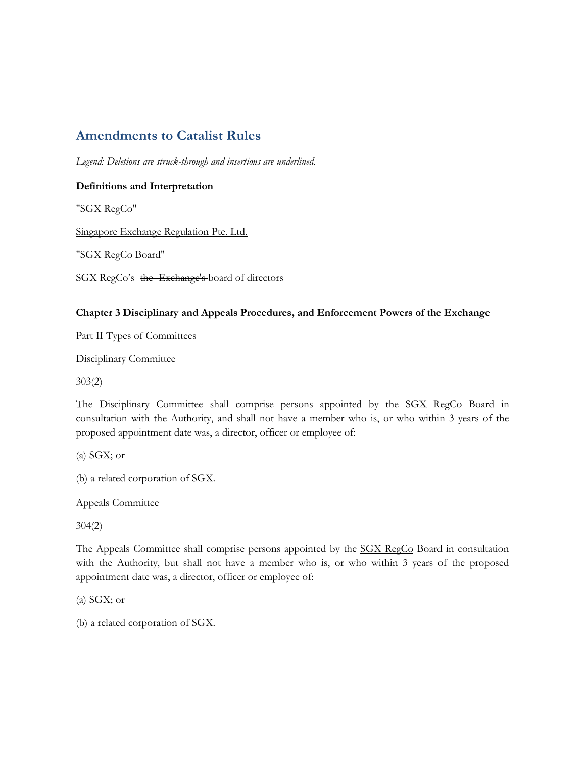## **Amendments to Catalist Rules**

*Legend: Deletions are struck-through and insertions are underlined.* 

## **Definitions and Interpretation**

"SGX RegCo"

Singapore Exchange Regulation Pte. Ltd.

"SGX RegCo Board"

SGX RegCo's the Exchange's board of directors

## **Chapter 3 Disciplinary and Appeals Procedures, and Enforcement Powers of the Exchange**

Part II Types of Committees

Disciplinary Committee

303(2)

The Disciplinary Committee shall comprise persons appointed by the SGX RegCo Board in consultation with the Authority, and shall not have a member who is, or who within 3 years of the proposed appointment date was, a director, officer or employee of:

(a) SGX; or

(b) a related corporation of SGX.

Appeals Committee

304(2)

The Appeals Committee shall comprise persons appointed by the SGX RegCo Board in consultation with the Authority, but shall not have a member who is, or who within 3 years of the proposed appointment date was, a director, officer or employee of:

(a) SGX; or

(b) a related corporation of SGX.